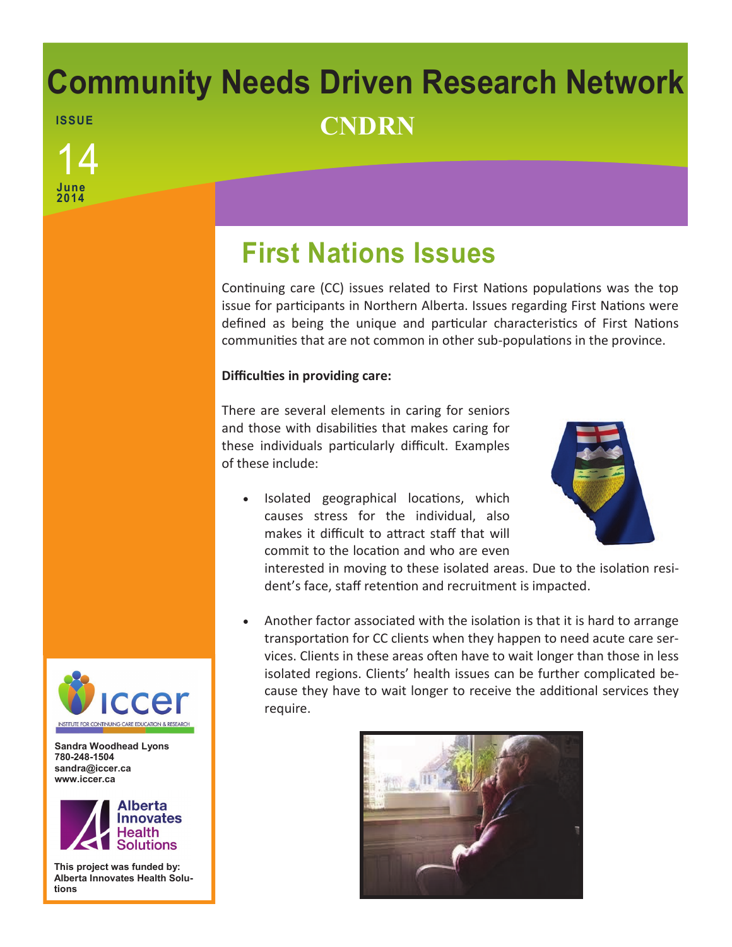# **Community Needs Driven Research Network ISSUE CNDRN**

**June 2014** 14

# **First Nations Issues**

Continuing care (CC) issues related to First Nations populations was the top issue for participants in Northern Alberta. Issues regarding First Nations were defined as being the unique and particular characteristics of First Nations communities that are not common in other sub-populations in the province.

## **Difficulties in providing care:**

There are several elements in caring for seniors and those with disabilities that makes caring for these individuals particularly difficult. Examples of these include:

• Isolated geographical locations, which causes stress for the individual, also makes it difficult to attract staff that will commit to the location and who are even



interested in moving to these isolated areas. Due to the isolation resident's face, staff retention and recruitment is impacted.

 Another factor associated with the isolation is that it is hard to arrange transportation for CC clients when they happen to need acute care services. Clients in these areas often have to wait longer than those in less isolated regions. Clients' health issues can be further complicated because they have to wait longer to receive the additional services they require.





**Sandra Woodhead Lyons 780-248-1504 sandra@iccer.ca www.iccer.ca** 



**This project was funded by: Alberta Innovates Health Solutions**